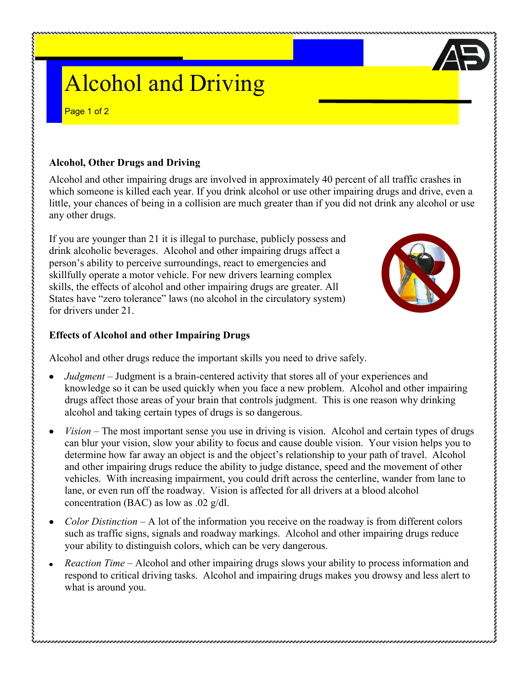# **Alcohol and Driving**

Page 1 of 2

### **Alcohol, Other Drugs and Driving**

Alcohol and other impairing drugs are involved in approximately 40 percent of all traffic crashes in which someone is killed each year. If you drink alcohol or use other impairing drugs and drive, even a little, your chances of being in a collision are much greater than if you did not drink any alcohol or use any other drugs.

If you are younger than 21 it is illegal to purchase, publicly possess and drink alcoholic beverages. Alcohol and other impairing drugs affect a person's ability to perceive surroundings, react to emergencies and skillfully operate a motor vehicle. For new drivers learning complex skills, the effects of alcohol and other impairing drugs are greater. All States have "zero tolerance" laws (no alcohol in the circulatory system) for drivers under 21.

### **Effects of Alcohol and other Impairing Drugs**

Alcohol and other drugs reduce the important skills you need to drive safely.

- *Judgment* Judgment is a brain-centered activity that stores all of your experiences and knowledge so it can be used quickly when you face a new problem. Alcohol and other impairing drugs affect those areas of your brain that controls judgment. This is one reason why drinking alcohol and taking certain types of drugs is so dangerous.
- *Vision* The most important sense you use in driving is vision. Alcohol and certain types of drugs can blur your vision, slow your ability to focus and cause double vision. Your vision helps you to determine how far away an object is and the object's relationship to your path of travel. Alcohol and other impairing drugs reduce the ability to judge distance, speed and the movement of other vehicles. With increasing impairment, you could drift across the centerline, wander from lane to lane, or even run off the roadway. Vision is affected for all drivers at a blood alcohol concentration (BAC) as low as .02 g/dl.
- *Color Distinction* A lot of the information you receive on the roadway is from different colors such as traffic signs, signals and roadway markings. Alcohol and other impairing drugs reduce your ability to distinguish colors, which can be very dangerous.
- *Reaction Time* Alcohol and other impairing drugs slows your ability to process information and respond to critical driving tasks. Alcohol and impairing drugs makes you drowsy and less alert to what is around you.